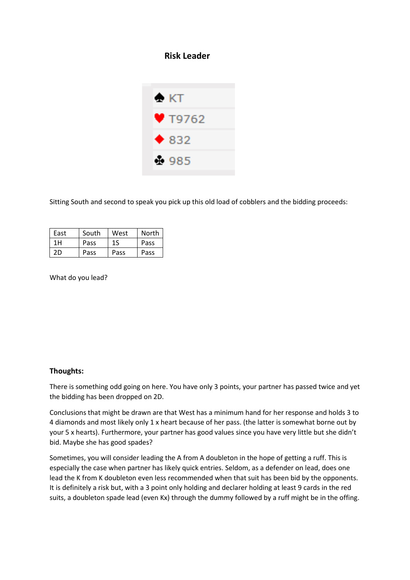## **Risk Leader**



Sitting South and second to speak you pick up this old load of cobblers and the bidding proceeds:

| East | South | West | North |
|------|-------|------|-------|
| 1H   | Pass  | 1S   | Pass  |
| 2D   | Pass  | Pass | Pass  |

What do you lead?

## **Thoughts:**

There is something odd going on here. You have only 3 points, your partner has passed twice and yet the bidding has been dropped on 2D.

Conclusions that might be drawn are that West has a minimum hand for her response and holds 3 to 4 diamonds and most likely only 1 x heart because of her pass. (the latter is somewhat borne out by your 5 x hearts). Furthermore, your partner has good values since you have very little but she didn't bid. Maybe she has good spades?

Sometimes, you will consider leading the A from A doubleton in the hope of getting a ruff. This is especially the case when partner has likely quick entries. Seldom, as a defender on lead, does one lead the K from K doubleton even less recommended when that suit has been bid by the opponents. It is definitely a risk but, with a 3 point only holding and declarer holding at least 9 cards in the red suits, a doubleton spade lead (even Kx) through the dummy followed by a ruff might be in the offing.